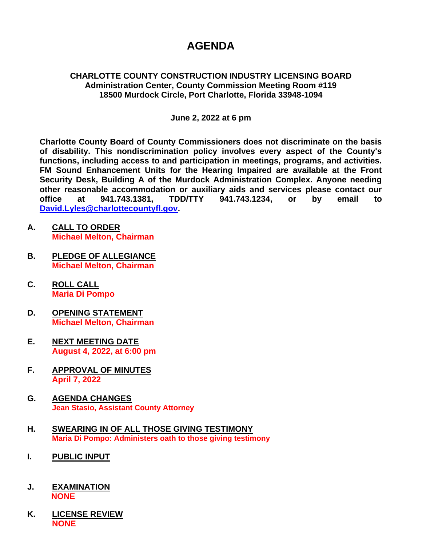# **AGENDA**

## **CHARLOTTE COUNTY CONSTRUCTION INDUSTRY LICENSING BOARD Administration Center, County Commission Meeting Room #119 18500 Murdock Circle, Port Charlotte, Florida 33948-1094**

# **June 2, 2022 at 6 pm**

**Charlotte County Board of County Commissioners does not discriminate on the basis of disability. This nondiscrimination policy involves every aspect of the County's functions, including access to and participation in meetings, programs, and activities. FM Sound Enhancement Units for the Hearing Impaired are available at the Front Security Desk, Building A of the Murdock Administration Complex. Anyone needing other reasonable accommodation or auxiliary aids and services please contact our office at 941.743.1381, TDD/TTY 941.743.1234, or by email to [David.Lyles@charlottecountyfl.gov.](mailto:David.Lyles@charlottecountyfl.gov)**

- **A. CALL TO ORDER Michael Melton, Chairman**
- **B. PLEDGE OF ALLEGIANCE Michael Melton, Chairman**
- **C. ROLL CALL Maria Di Pompo**
- **D. OPENING STATEMENT Michael Melton, Chairman**
- **E. NEXT MEETING DATE August 4, 2022, at 6:00 pm**
- **F. APPROVAL OF MINUTES April 7, 2022**
- **G. AGENDA CHANGES Jean Stasio, Assistant County Attorney**
- **H. SWEARING IN OF ALL THOSE GIVING TESTIMONY Maria Di Pompo: Administers oath to those giving testimony**
- **I. PUBLIC INPUT**
- **J. EXAMINATION NONE**
- **K. LICENSE REVIEW NONE**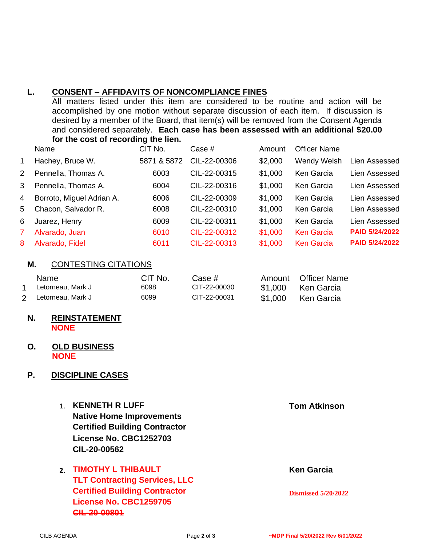# **L. CONSENT – AFFIDAVITS OF NONCOMPLIANCE FINES**

All matters listed under this item are considered to be routine and action will be accomplished by one motion without separate discussion of each item. If discussion is desired by a member of the Board, that item(s) will be removed from the Consent Agenda and considered separately. **Each case has been assessed with an additional \$20.00 for the cost of recording the lien.**

|              | Name                      | CIT No.     | Case $#$                | Amount  | <b>Officer Name</b> |                       |
|--------------|---------------------------|-------------|-------------------------|---------|---------------------|-----------------------|
| $\mathbf{1}$ | Hachey, Bruce W.          | 5871 & 5872 | CIL-22-00306            | \$2,000 | Wendy Welsh         | Lien Assessed         |
| 2            | Pennella, Thomas A.       | 6003        | CIL-22-00315            | \$1,000 | Ken Garcia          | Lien Assessed         |
| 3            | Pennella, Thomas A.       | 6004        | CIL-22-00316            | \$1,000 | Ken Garcia          | Lien Assessed         |
| 4            | Borroto, Miguel Adrian A. | 6006        | CIL-22-00309            | \$1,000 | Ken Garcia          | Lien Assessed         |
| 5            | Chacon, Salvador R.       | 6008        | CIL-22-00310            | \$1,000 | Ken Garcia          | Lien Assessed         |
| 6            | Juarez, Henry             | 6009        | CIL-22-00311            | \$1,000 | Ken Garcia          | Lien Assessed         |
|              | Alvarado, Juan            | 6010        | CIL-22-00312            | \$1,000 | <b>Ken Garcia</b>   | <b>PAID 5/24/2022</b> |
| 8            | Alvarado, Fidel           | 6011        | <del>CIL-22-00313</del> | \$1,000 | <b>Ken Garcia</b>   | <b>PAID 5/24/2022</b> |

### **M.** CONTESTING CITATIONS

| <b>Name</b>         | CIT No. | Case #       | Amount Officer Name |
|---------------------|---------|--------------|---------------------|
| Letorneau. Mark J   | 6098    | CIT-22-00030 | \$1,000 Ken Garcia  |
| 2 Letorneau, Mark J | 6099    | CIT-22-00031 | \$1,000 Ken Garcia  |

#### **N. REINSTATEMENT NONE**

#### **O. OLD BUSINESS NONE**

# **P. DISCIPLINE CASES**

- 1. **KENNETH R LUFF Tom Atkinson Native Home Improvements Certified Building Contractor License No. CBC1252703 CIL-20-00562**
- **2. FIMOTHY L THIBAULT** Ken Garcia **TLT Contracting Services, LLC Certified Building Contractor Dismissed 5/20/2022 License No. CBC1259705 CIL-20-00801**